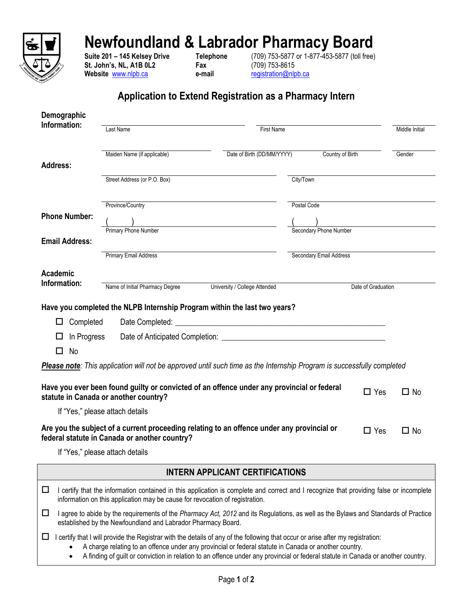

## **Newfoundland & Labrador Pharmacy Board**

**St. John's, NL, A1B 0L2**<br> **Fax** (709) 753-8615<br> **Website** www.nlpb.ca e-mail e-mail registration@nlpb.ca Website **[www.nlpb.ca](http://www.nlpb.ca/) e-mail** 

**Suite 201 – 145 Kelsey Drive Telephone** (709) 753-5877 or 1-877-453-5877 (toll free)

## **Application to Extend Registration as a Pharmacy Intern**

| Demographic              |                                               |                                                                                                                               |                         |                |
|--------------------------|-----------------------------------------------|-------------------------------------------------------------------------------------------------------------------------------|-------------------------|----------------|
| Information:             | Last Name                                     | <b>First Name</b>                                                                                                             |                         | Middle Initial |
|                          | Maiden Name (if applicable)                   | Date of Birth (DD/MM/YYYY)                                                                                                    | Country of Birth        | Gender         |
| <b>Address:</b>          |                                               |                                                                                                                               |                         |                |
|                          | Street Address (or P.O. Box)                  | City/Town                                                                                                                     |                         |                |
|                          | Province/Country                              |                                                                                                                               | Postal Code             |                |
| <b>Phone Number:</b>     | <b>Primary Phone Number</b>                   |                                                                                                                               | Secondary Phone Number  |                |
| <b>Email Address:</b>    |                                               |                                                                                                                               |                         |                |
|                          | <b>Primary Email Address</b>                  |                                                                                                                               | Secondary Email Address |                |
| Academic<br>Information: | Name of Initial Pharmacy Degree               | University / College Attended                                                                                                 | Date of Graduation      |                |
|                          |                                               | Have you completed the NLPB Internship Program within the last two years?                                                     |                         |                |
| Completed                | Date Completed:                               | <u> 1989 - Andrea Andrew Maria (h. 1989).</u>                                                                                 |                         |                |
| In Progress<br>H         |                                               |                                                                                                                               |                         |                |
| No<br>П                  |                                               |                                                                                                                               |                         |                |
|                          |                                               | <b>Please note:</b> This application will not be approved until such time as the Internship Program is successfully completed |                         |                |
|                          | statute in Canada or another country?         | Have you ever been found guilty or convicted of an offence under any provincial or federal                                    | $\Box$ Yes              | $\square$ No   |
|                          | If "Yes," please attach details               |                                                                                                                               |                         |                |
|                          | federal statute in Canada or another country? | Are you the subject of a current proceeding relating to an offence under any provincial or                                    | $\Box$ Yes              | $\Box$ No      |
|                          | If "Yes," please attach details               |                                                                                                                               |                         |                |

**INTERN APPLICANT CERTIFICATIONS**

| I certify that the information contained in this application is complete and correct and I recognize that providing false or incomplete<br>information on this application may be cause for revocation of registration.                                                                                                                                                           |  |
|-----------------------------------------------------------------------------------------------------------------------------------------------------------------------------------------------------------------------------------------------------------------------------------------------------------------------------------------------------------------------------------|--|
| I agree to abide by the requirements of the Pharmacy Act, 2012 and its Regulations, as well as the Bylaws and Standards of Practice<br>established by the Newfoundland and Labrador Pharmacy Board.                                                                                                                                                                               |  |
| I certify that I will provide the Registrar with the details of any of the following that occur or arise after my registration:<br>A charge relating to an offence under any provincial or federal statute in Canada or another country.<br>٠<br>A finding of guilt or conviction in relation to an offence under any provincial or federal statute in Canada or another country. |  |